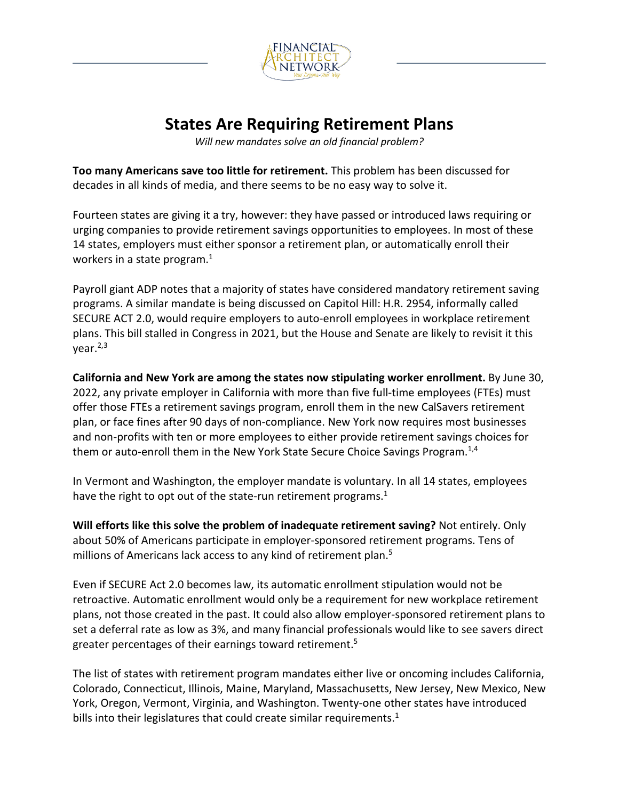

## **States Are Requiring Retirement Plans**

*Will new mandates solve an old financial problem?*

**Too many Americans save too little for retirement.** This problem has been discussed for decades in all kinds of media, and there seems to be no easy way to solve it.

Fourteen states are giving it a try, however: they have passed or introduced laws requiring or urging companies to provide retirement savings opportunities to employees. In most of these 14 states, employers must either sponsor a retirement plan, or automatically enroll their workers in a state program. $<sup>1</sup>$ </sup>

Payroll giant ADP notes that a majority of states have considered mandatory retirement saving programs. A similar mandate is being discussed on Capitol Hill: H.R. 2954, informally called SECURE ACT 2.0, would require employers to auto-enroll employees in workplace retirement plans. This bill stalled in Congress in 2021, but the House and Senate are likely to revisit it this  $year.<sup>2,3</sup>$ 

**California and New York are among the states now stipulating worker enrollment.** By June 30, 2022, any private employer in California with more than five full-time employees (FTEs) must offer those FTEs a retirement savings program, enroll them in the new CalSavers retirement plan, or face fines after 90 days of non-compliance. New York now requires most businesses and non-profits with ten or more employees to either provide retirement savings choices for them or auto-enroll them in the New York State Secure Choice Savings Program.<sup>1,4</sup>

In Vermont and Washington, the employer mandate is voluntary. In all 14 states, employees have the right to opt out of the state-run retirement programs.<sup>1</sup>

**Will efforts like this solve the problem of inadequate retirement saving?** Not entirely. Only about 50% of Americans participate in employer-sponsored retirement programs. Tens of millions of Americans lack access to any kind of retirement plan.<sup>5</sup>

Even if SECURE Act 2.0 becomes law, its automatic enrollment stipulation would not be retroactive. Automatic enrollment would only be a requirement for new workplace retirement plans, not those created in the past. It could also allow employer-sponsored retirement plans to set a deferral rate as low as 3%, and many financial professionals would like to see savers direct greater percentages of their earnings toward retirement.<sup>5</sup>

The list of states with retirement program mandates either live or oncoming includes California, Colorado, Connecticut, Illinois, Maine, Maryland, Massachusetts, New Jersey, New Mexico, New York, Oregon, Vermont, Virginia, and Washington. Twenty-one other states have introduced bills into their legislatures that could create similar requirements. $1$